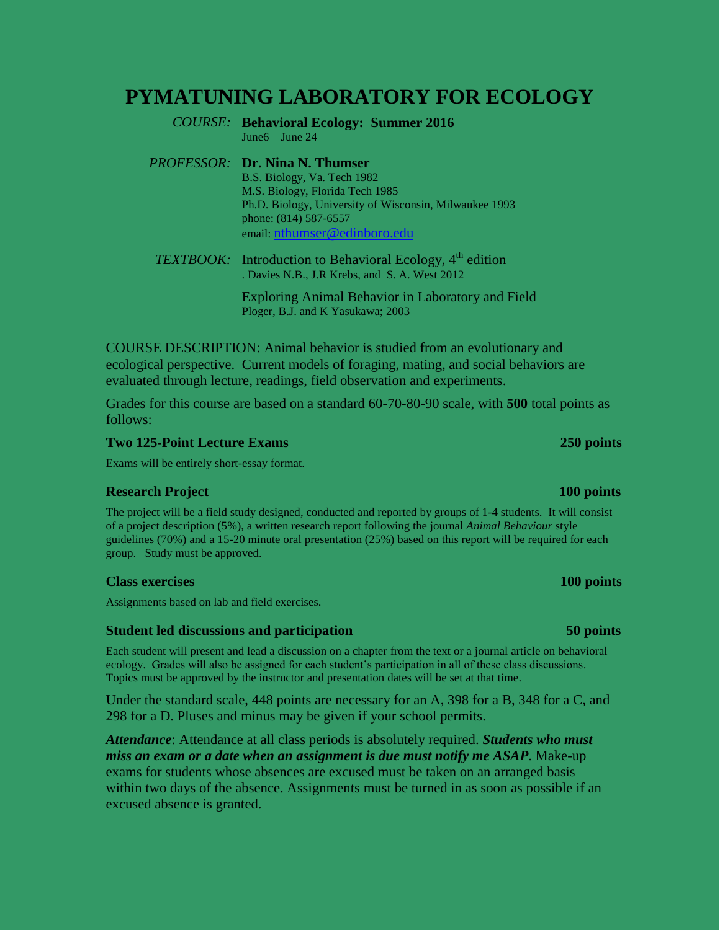# **PYMATUNING LABORATORY FOR ECOLOGY**

*COURSE:* **Behavioral Ecology: Summer 2016** June6—June 24

*PROFESSOR:* **Dr. Nina N. Thumser**

B.S. Biology, Va. Tech 1982 M.S. Biology, Florida Tech 1985 Ph.D. Biology, University of Wisconsin, Milwaukee 1993 phone: (814) 587-6557 email: [nthumser@edinboro.edu](mailto:plindeman@edinboro.edu)

**TEXTBOOK:** Introduction to Behavioral Ecology, 4<sup>th</sup> edition . Davies N.B., J.R Krebs, and S. A. West 2012

> Exploring Animal Behavior in Laboratory and Field Ploger, B.J. and K Yasukawa; 2003

COURSE DESCRIPTION: Animal behavior is studied from an evolutionary and ecological perspective. Current models of foraging, mating, and social behaviors are evaluated through lecture, readings, field observation and experiments.

Grades for this course are based on a standard 60-70-80-90 scale, with **500** total points as follows:

### **Two 125-Point Lecture Exams 250 points**

Exams will be entirely short-essay format.

### **Research Project 100 points**

The project will be a field study designed, conducted and reported by groups of 1-4 students. It will consist of a project description (5%), a written research report following the journal *Animal Behaviour* style guidelines (70%) and a 15-20 minute oral presentation (25%) based on this report will be required for each group. Study must be approved.

### **Class exercises 100 points**

Assignments based on lab and field exercises.

### **Student led discussions and participation 50 points**

Each student will present and lead a discussion on a chapter from the text or a journal article on behavioral ecology. Grades will also be assigned for each student's participation in all of these class discussions. Topics must be approved by the instructor and presentation dates will be set at that time.

Under the standard scale, 448 points are necessary for an A, 398 for a B, 348 for a C, and 298 for a D. Pluses and minus may be given if your school permits.

*Attendance*: Attendance at all class periods is absolutely required. *Students who must miss an exam or a date when an assignment is due must notify me ASAP*. Make-up exams for students whose absences are excused must be taken on an arranged basis within two days of the absence. Assignments must be turned in as soon as possible if an excused absence is granted.